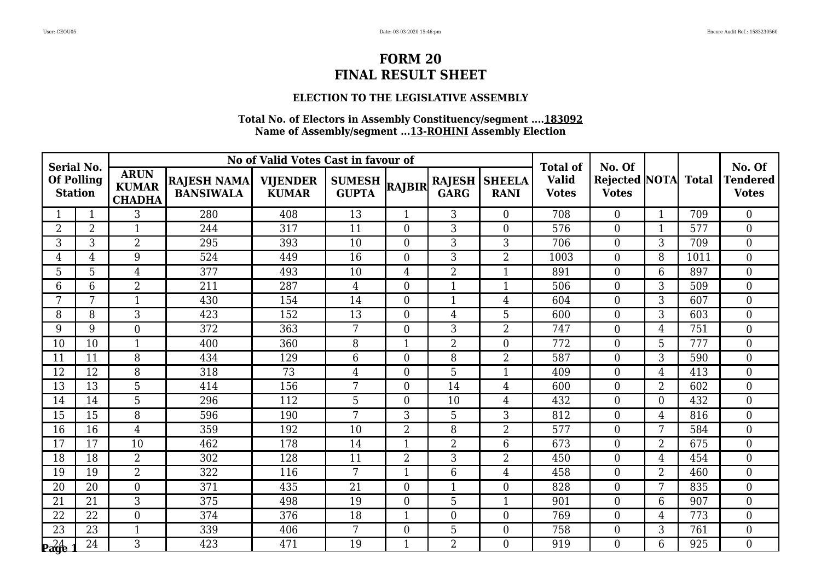### **ELECTION TO THE LEGISLATIVE ASSEMBLY**

| <b>Serial No.</b>                   |                |                                              |                                        | No of Valid Votes Cast in favour of |                               |                |                              |                              | <b>Total of</b>              | No. Of                              |                |      | No. Of                          |
|-------------------------------------|----------------|----------------------------------------------|----------------------------------------|-------------------------------------|-------------------------------|----------------|------------------------------|------------------------------|------------------------------|-------------------------------------|----------------|------|---------------------------------|
| <b>Of Polling</b><br><b>Station</b> |                | <b>ARUN</b><br><b>KUMAR</b><br><b>CHADHA</b> | <b>RAJESH NAMA</b><br><b>BANSIWALA</b> | <b>VIJENDER</b><br><b>KUMAR</b>     | <b>SUMESH</b><br><b>GUPTA</b> | <b>RAJBIR</b>  | <b>RAJESH</b><br><b>GARG</b> | <b>SHEELA</b><br><b>RANI</b> | <b>Valid</b><br><b>Votes</b> | Rejected NOTA Total<br><b>Votes</b> |                |      | <b>Tendered</b><br><b>Votes</b> |
|                                     | 1              | 3                                            | 280                                    | 408                                 | 13                            | $\mathbf{1}$   | 3                            | $\overline{0}$               | 708                          | $\overline{0}$                      | $\mathbf{1}$   | 709  | $\theta$                        |
| $\overline{2}$                      | $\overline{2}$ | $\mathbf 1$                                  | 244                                    | 317                                 | 11                            | $\overline{0}$ | 3                            | $\overline{0}$               | 576                          | $\boldsymbol{0}$                    | 1              | 577  | $\overline{0}$                  |
| 3                                   | 3              | $\overline{2}$                               | 295                                    | 393                                 | 10                            | $\overline{0}$ | 3                            | 3                            | 706                          | $\boldsymbol{0}$                    | 3              | 709  | $\boldsymbol{0}$                |
| 4                                   | 4              | 9                                            | 524                                    | 449                                 | 16                            | $\overline{0}$ | 3                            | $\overline{2}$               | 1003                         | $\boldsymbol{0}$                    | 8              | 1011 | $\overline{0}$                  |
| 5                                   | 5              | $\overline{4}$                               | 377                                    | 493                                 | 10                            | 4              | 2                            | 1                            | 891                          | $\boldsymbol{0}$                    | 6              | 897  | $\overline{0}$                  |
| 6                                   | 6              | $\overline{2}$                               | 211                                    | 287                                 | $\overline{4}$                | $\overline{0}$ | $\mathbf{1}$                 | $\mathbf{1}$                 | 506                          | $\overline{0}$                      | 3              | 509  | $\mathbf{0}$                    |
| 7                                   | 7              | $\mathbf{1}$                                 | 430                                    | 154                                 | 14                            | $\Omega$       | $\mathbf{1}$                 | $\overline{4}$               | 604                          | $\boldsymbol{0}$                    | 3              | 607  | $\overline{0}$                  |
| 8                                   | 8              | 3                                            | 423                                    | 152                                 | 13                            | $\overline{0}$ | $\overline{4}$               | 5                            | 600                          | $\boldsymbol{0}$                    | 3              | 603  | $\overline{0}$                  |
| 9                                   | 9              | $\boldsymbol{0}$                             | 372                                    | 363                                 | $7\overline{ }$               | $\overline{0}$ | 3                            | $\overline{2}$               | 747                          | $\boldsymbol{0}$                    | 4              | 751  | $\boldsymbol{0}$                |
| 10                                  | 10             | $\mathbf{1}$                                 | 400                                    | 360                                 | 8                             | 1              | $\overline{2}$               | $\theta$                     | 772                          | $\boldsymbol{0}$                    | 5              | 777  | $\overline{0}$                  |
| 11                                  | 11             | 8                                            | 434                                    | 129                                 | 6                             | $\overline{0}$ | 8                            | $\overline{2}$               | 587                          | $\boldsymbol{0}$                    | 3              | 590  | $\boldsymbol{0}$                |
| 12                                  | 12             | 8                                            | 318                                    | 73                                  | $\overline{4}$                | $\overline{0}$ | 5                            | $\mathbf{1}$                 | 409                          | $\boldsymbol{0}$                    | 4              | 413  | $\overline{0}$                  |
| 13                                  | 13             | $\overline{5}$                               | 414                                    | 156                                 | $7\overline{ }$               | $\overline{0}$ | 14                           | $\overline{4}$               | 600                          | $\boldsymbol{0}$                    | $\overline{2}$ | 602  | $\overline{0}$                  |
| 14                                  | 14             | 5                                            | 296                                    | 112                                 | 5                             | $\Omega$       | 10                           | $\overline{4}$               | 432                          | $\boldsymbol{0}$                    | $\overline{0}$ | 432  | $\overline{0}$                  |
| 15                                  | 15             | 8                                            | 596                                    | 190                                 | 7                             | 3              | 5                            | 3                            | 812                          | $\boldsymbol{0}$                    | 4              | 816  | $\overline{0}$                  |
| 16                                  | 16             | $\overline{4}$                               | 359                                    | 192                                 | 10                            | $\overline{2}$ | 8                            | $\overline{2}$               | 577                          | $\boldsymbol{0}$                    | 7              | 584  | $\boldsymbol{0}$                |
| 17                                  | 17             | 10                                           | 462                                    | 178                                 | 14                            | $\mathbf{1}$   | $\overline{2}$               | 6                            | 673                          | $\boldsymbol{0}$                    | $\overline{2}$ | 675  | $\boldsymbol{0}$                |
| 18                                  | 18             | $\overline{2}$                               | 302                                    | 128                                 | $\overline{11}$               | $\overline{2}$ | $\overline{3}$               | $\overline{2}$               | 450                          | $\overline{0}$                      | 4              | 454  | $\overline{0}$                  |
| 19                                  | 19             | $\overline{2}$                               | 322                                    | 116                                 | 7                             | 1              | 6                            | $\overline{4}$               | 458                          | $\boldsymbol{0}$                    | $\overline{2}$ | 460  | $\overline{0}$                  |
| 20                                  | 20             | $\overline{0}$                               | 371                                    | 435                                 | 21                            | $\overline{0}$ | $\mathbf{1}$                 | $\overline{0}$               | 828                          | $\boldsymbol{0}$                    | 7              | 835  | $\boldsymbol{0}$                |
| 21                                  | 21             | 3                                            | 375                                    | 498                                 | 19                            | $\Omega$       | 5                            | $\mathbf{1}$                 | 901                          | $\overline{0}$                      | 6              | 907  | $\theta$                        |
| 22                                  | 22             | $\overline{0}$                               | 374                                    | 376                                 | 18                            | 1              | $\overline{0}$               | $\overline{0}$               | 769                          | $\boldsymbol{0}$                    | 4              | 773  | $\boldsymbol{0}$                |
| 23                                  | 23             | $\mathbf{1}$                                 | 339                                    | 406                                 | $7\phantom{.}$                | $\overline{0}$ | 5                            | $\overline{0}$               | 758                          | $\boldsymbol{0}$                    | 3              | 761  | $\boldsymbol{0}$                |
| $P_{\rm{angle}}^{24}$               | 24             | 3                                            | 423                                    | 471                                 | 19                            | $\mathbf{1}$   | $\overline{2}$               | $\Omega$                     | 919                          | $\overline{0}$                      | 6              | 925  | $\overline{0}$                  |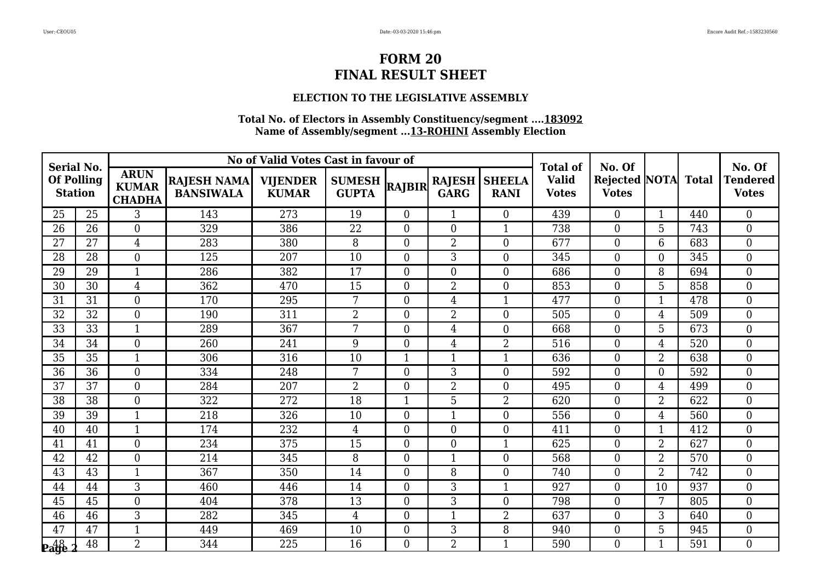### **ELECTION TO THE LEGISLATIVE ASSEMBLY**

| <b>Serial No.</b> |                   |                                              |                                        | No of Valid Votes Cast in favour of |                               |                |                              |                              | <b>Total of</b>              | No. Of                               |                |              | No. Of                          |
|-------------------|-------------------|----------------------------------------------|----------------------------------------|-------------------------------------|-------------------------------|----------------|------------------------------|------------------------------|------------------------------|--------------------------------------|----------------|--------------|---------------------------------|
| <b>Station</b>    | <b>Of Polling</b> | <b>ARUN</b><br><b>KUMAR</b><br><b>CHADHA</b> | <b>RAJESH NAMA</b><br><b>BANSIWALA</b> | <b>VIJENDER</b><br><b>KUMAR</b>     | <b>SUMESH</b><br><b>GUPTA</b> | RAJBIR         | <b>RAJESH</b><br><b>GARG</b> | <b>SHEELA</b><br><b>RANI</b> | <b>Valid</b><br><b>Votes</b> | <b>Rejected NOTA</b><br><b>Votes</b> |                | <b>Total</b> | <b>Tendered</b><br><b>Votes</b> |
| 25                | 25                | 3                                            | 143                                    | 273                                 | 19                            | $\overline{0}$ | $\mathbf{1}$                 | $\overline{0}$               | 439                          | $\overline{0}$                       | $\mathbf{1}$   | 440          | $\overline{0}$                  |
| 26                | 26                | $\overline{0}$                               | 329                                    | 386                                 | 22                            | $\overline{0}$ | $\overline{0}$               | $\mathbf{1}$                 | 738                          | $\boldsymbol{0}$                     | 5              | 743          | $\overline{0}$                  |
| 27                | 27                | $\overline{4}$                               | 283                                    | 380                                 | 8                             | $\Omega$       | $\overline{2}$               | $\overline{0}$               | 677                          | $\boldsymbol{0}$                     | 6              | 683          | $\overline{0}$                  |
| 28                | 28                | $\overline{0}$                               | 125                                    | 207                                 | $\overline{10}$               | $\Omega$       | 3                            | $\overline{0}$               | 345                          | $\boldsymbol{0}$                     | $\overline{0}$ | 345          | $\overline{0}$                  |
| 29                | 29                | $\mathbf{1}$                                 | 286                                    | 382                                 | 17                            | $\overline{0}$ | $\overline{0}$               | $\overline{0}$               | 686                          | $\boldsymbol{0}$                     | 8              | 694          | $\overline{0}$                  |
| 30                | 30                | $\overline{4}$                               | 362                                    | 470                                 | 15                            | $\overline{0}$ | $\overline{2}$               | $\overline{0}$               | 853                          | $\boldsymbol{0}$                     | 5              | 858          | $\boldsymbol{0}$                |
| 31                | 31                | $\overline{0}$                               | 170                                    | 295                                 | 7                             | $\Omega$       | $\overline{4}$               | $\mathbf{1}$                 | 477                          | $\boldsymbol{0}$                     | 1              | 478          | $\overline{0}$                  |
| 32                | 32                | $\overline{0}$                               | 190                                    | 311                                 | $\overline{2}$                | $\overline{0}$ | $\overline{2}$               | $\overline{0}$               | 505                          | $\boldsymbol{0}$                     | 4              | 509          | $\overline{0}$                  |
| $\overline{33}$   | $\overline{33}$   | $\mathbf{1}$                                 | 289                                    | 367                                 | $\overline{7}$                | $\overline{0}$ | $\overline{4}$               | $\overline{0}$               | 668                          | $\overline{0}$                       | 5              | 673          | $\overline{0}$                  |
| 34                | 34                | $\theta$                                     | 260                                    | 241                                 | 9                             | $\Omega$       | $\overline{4}$               | $\overline{2}$               | 516                          | $\boldsymbol{0}$                     | 4              | 520          | $\overline{0}$                  |
| 35                | 35                | $\mathbf{1}$                                 | 306                                    | 316                                 | 10                            | 1              | $\mathbf{1}$                 | 1                            | 636                          | $\boldsymbol{0}$                     | $\overline{2}$ | 638          | $\overline{0}$                  |
| 36                | 36                | $\boldsymbol{0}$                             | 334                                    | 248                                 | 7                             | $\overline{0}$ | 3                            | $\overline{0}$               | 592                          | $\boldsymbol{0}$                     | $\overline{0}$ | 592          | $\boldsymbol{0}$                |
| 37                | 37                | $\overline{0}$                               | 284                                    | 207                                 | $\overline{2}$                | $\overline{0}$ | $\overline{2}$               | $\theta$                     | 495                          | $\boldsymbol{0}$                     | 4              | 499          | $\overline{0}$                  |
| 38                | 38                | $\overline{0}$                               | 322                                    | 272                                 | 18                            |                | 5                            | $\overline{2}$               | 620                          | $\boldsymbol{0}$                     | $\overline{2}$ | 622          | $\boldsymbol{0}$                |
| 39                | 39                | $\mathbf{1}$                                 | 218                                    | 326                                 | 10                            | $\overline{0}$ | 1                            | $\overline{0}$               | 556                          | $\boldsymbol{0}$                     | 4              | 560          | $\overline{0}$                  |
| 40                | 40                | $\mathbf{1}$                                 | 174                                    | 232                                 | 4                             | $\overline{0}$ | $\theta$                     | $\overline{0}$               | 411                          | $\boldsymbol{0}$                     | 1              | 412          | $\overline{0}$                  |
| 41                | 41                | $\overline{0}$                               | 234                                    | 375                                 | 15                            | $\Omega$       | $\overline{0}$               | $\mathbf{1}$                 | 625                          | $\boldsymbol{0}$                     | $\overline{2}$ | 627          | $\overline{0}$                  |
| 42                | 42                | $\theta$                                     | 214                                    | 345                                 | 8                             | $\Omega$       | $\mathbf{1}$                 | $\overline{0}$               | 568                          | $\overline{0}$                       | $\overline{2}$ | 570          | $\overline{0}$                  |
| 43                | 43                | $\mathbf{1}$                                 | 367                                    | 350                                 | 14                            | $\overline{0}$ | 8                            | $\overline{0}$               | 740                          | $\boldsymbol{0}$                     | $\overline{2}$ | 742          | $\boldsymbol{0}$                |
| 44                | 44                | 3                                            | 460                                    | 446                                 | 14                            | $\Omega$       | 3                            | $\mathbf{1}$                 | 927                          | $\boldsymbol{0}$                     | 10             | 937          | $\boldsymbol{0}$                |
| 45                | 45                | $\overline{0}$                               | 404                                    | 378                                 | 13                            | $\Omega$       | 3                            | $\overline{0}$               | 798                          | $\overline{0}$                       | 7              | 805          | $\overline{0}$                  |
| 46                | 46                | 3                                            | 282                                    | 345                                 | 4                             | $\overline{0}$ | $\mathbf{1}$                 | $\overline{2}$               | 637                          | $\boldsymbol{0}$                     | 3              | 640          | $\boldsymbol{0}$                |
| 47                | $\overline{47}$   | $\mathbf{1}$                                 | 449                                    | 469                                 | 10                            | $\overline{0}$ | 3                            | 8                            | 940                          | $\boldsymbol{0}$                     | 5              | 945          | $\boldsymbol{0}$                |
| <b>Page</b>       | 48                | $\overline{2}$                               | 344                                    | 225                                 | 16                            | $\Omega$       | $\overline{2}$               | $\mathbf{1}$                 | 590                          | $\overline{0}$                       | $\mathbf{1}$   | 591          | $\theta$                        |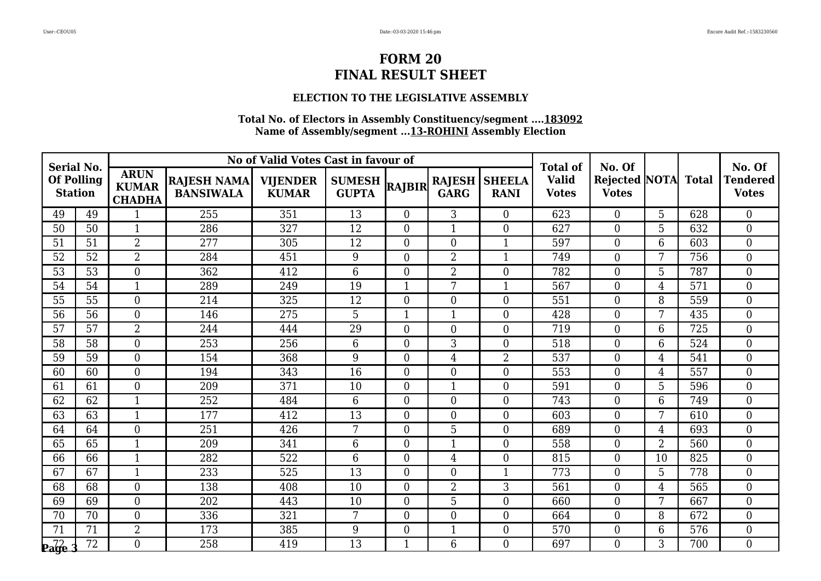### **ELECTION TO THE LEGISLATIVE ASSEMBLY**

| <b>Serial No.</b> |                   |                                              |                                        | No of Valid Votes Cast in favour of |                               |                                        |                |                              | <b>Total of</b>              | No. Of                               |                |                  | No. Of                          |
|-------------------|-------------------|----------------------------------------------|----------------------------------------|-------------------------------------|-------------------------------|----------------------------------------|----------------|------------------------------|------------------------------|--------------------------------------|----------------|------------------|---------------------------------|
| <b>Station</b>    | <b>Of Polling</b> | <b>ARUN</b><br><b>KUMAR</b><br><b>CHADHA</b> | <b>RAJESH NAMA</b><br><b>BANSIWALA</b> | <b>VIJENDER</b><br><b>KUMAR</b>     | <b>SUMESH</b><br><b>GUPTA</b> | <b>RAJESH</b><br>RAJBIR<br><b>GARG</b> |                | <b>SHEELA</b><br><b>RANI</b> | <b>Valid</b><br><b>Votes</b> | <b>Rejected NOTA</b><br><b>Votes</b> |                | <b>Total</b>     | <b>Tendered</b><br><b>Votes</b> |
| 49                | 49                | $\mathbf{1}$                                 | 255                                    | 351                                 | 13                            | $\overline{0}$                         | 3              | $\overline{0}$               | 623                          | $\overline{0}$                       | 5              | 628              | $\overline{0}$                  |
| 50                | 50                | $\mathbf{1}$                                 | 286                                    | 327                                 | 12                            | $\overline{0}$                         | $\mathbf{1}$   | $\overline{0}$               | 627                          | $\boldsymbol{0}$                     | 5              | 632              | $\overline{0}$                  |
| 51                | 51                | $\overline{2}$                               | 277                                    | 305                                 | 12                            | $\Omega$                               | $\overline{0}$ | $\mathbf{1}$                 | 597                          | $\boldsymbol{0}$                     | 6              | 603              | $\overline{0}$                  |
| 52                | $\overline{52}$   | $\overline{2}$                               | 284                                    | 451                                 | 9                             | $\Omega$                               | $\overline{2}$ | $\mathbf{1}$                 | 749                          | $\boldsymbol{0}$                     | 7              | 756              | $\overline{0}$                  |
| 53                | 53                | $\overline{0}$                               | 362                                    | 412                                 | 6                             | $\Omega$                               | 2              | $\theta$                     | 782                          | $\boldsymbol{0}$                     | 5              | 787              | $\overline{0}$                  |
| 54                | 54                | $\mathbf{1}$                                 | 289                                    | 249                                 | 19                            | $\mathbf{1}$                           | 7              | $\mathbf{1}$                 | 567                          | $\boldsymbol{0}$                     | $\overline{4}$ | 571              | $\boldsymbol{0}$                |
| 55                | 55                | $\overline{0}$                               | 214                                    | 325                                 | 12                            | $\overline{0}$                         | $\overline{0}$ | $\overline{0}$               | 551                          | $\boldsymbol{0}$                     | 8              | 559              | $\overline{0}$                  |
| 56                | 56                | $\overline{0}$                               | 146                                    | 275                                 | 5                             |                                        | $\mathbf{1}$   | $\overline{0}$               | 428                          | $\boldsymbol{0}$                     | 7              | 435              | $\overline{0}$                  |
| 57                | $\overline{57}$   | $\overline{2}$                               | 244                                    | 444                                 | $\overline{29}$               | $\overline{0}$                         | $\overline{0}$ | $\overline{0}$               | 719                          | $\overline{0}$                       | 6              | 725              | $\overline{0}$                  |
| 58                | 58                | $\overline{0}$                               | 253                                    | 256                                 | 6                             | $\Omega$                               | 3              | $\theta$                     | 518                          | $\boldsymbol{0}$                     | 6              | 524              | $\overline{0}$                  |
| 59                | 59                | $\overline{0}$                               | 154                                    | 368                                 | 9                             | $\overline{0}$                         | 4              | $\overline{2}$               | 537                          | $\boldsymbol{0}$                     | 4              | 541              | $\overline{0}$                  |
| 60                | 60                | $\boldsymbol{0}$                             | 194                                    | 343                                 | 16                            | $\overline{0}$                         | $\overline{0}$ | $\overline{0}$               | 553                          | $\boldsymbol{0}$                     | 4              | 557              | $\boldsymbol{0}$                |
| 61                | 61                | $\overline{0}$                               | 209                                    | 371                                 | 10                            | $\overline{0}$                         | $\mathbf{1}$   | $\theta$                     | 591                          | $\boldsymbol{0}$                     | 5              | 596              | $\overline{0}$                  |
| 62                | 62                | $\mathbf{1}$                                 | 252                                    | 484                                 | 6                             | $\Omega$                               | $\overline{0}$ | $\theta$                     | 743                          | $\boldsymbol{0}$                     | 6              | 749              | $\boldsymbol{0}$                |
| 63                | 63                | $\mathbf{1}$                                 | 177                                    | 412                                 | 13                            | $\overline{0}$                         | $\overline{0}$ | $\overline{0}$               | 603                          | $\boldsymbol{0}$                     | 7              | 610              | $\overline{0}$                  |
| 64                | 64                | $\overline{0}$                               | 251                                    | 426                                 | $7\phantom{.}$                | $\overline{0}$                         | 5              | $\overline{0}$               | 689                          | $\overline{0}$                       | $\overline{4}$ | 693              | $\overline{0}$                  |
| 65                | 65                | $\mathbf{1}$                                 | 209                                    | 341                                 | 6                             | $\Omega$                               | $\mathbf{1}$   | $\theta$                     | 558                          | $\boldsymbol{0}$                     | $\overline{2}$ | 560              | $\overline{0}$                  |
| 66                | 66                | $\mathbf{1}$                                 | 282                                    | 522                                 | 6                             | $\Omega$                               | $\overline{4}$ | $\theta$                     | 815                          | $\overline{0}$                       | 10             | 825              | $\overline{0}$                  |
| 67                | 67                | 1                                            | 233                                    | 525                                 | 13                            | $\overline{0}$                         | $\overline{0}$ | $\mathbf{1}$                 | 773                          | $\boldsymbol{0}$                     | 5              | 778              | $\boldsymbol{0}$                |
| 68                | 68                | $\overline{0}$                               | 138                                    | 408                                 | 10                            | $\overline{0}$                         | $\overline{2}$ | 3                            | 561                          | $\boldsymbol{0}$                     | $\overline{4}$ | 565              | $\boldsymbol{0}$                |
| 69                | 69                | $\overline{0}$                               | 202                                    | 443                                 | 10                            | $\Omega$                               | 5              | $\overline{0}$               | 660                          | $\boldsymbol{0}$                     | 7              | 667              | $\overline{0}$                  |
| 70                | 70                | $\boldsymbol{0}$                             | 336                                    | 321                                 | 7                             | $\overline{0}$                         | $\overline{0}$ | $\overline{0}$               | 664                          | $\boldsymbol{0}$                     | 8              | 672              | $\boldsymbol{0}$                |
| 71                | 71                | $\overline{2}$                               | 173                                    | 385                                 | 9                             | $\overline{0}$                         | $\mathbf{1}$   | $\overline{0}$               | 570                          | $\boldsymbol{0}$                     | 6              | $\overline{576}$ | $\boldsymbol{0}$                |
| <b>Page</b>       | 72                | $\theta$                                     | 258                                    | 419                                 | 13                            | $\mathbf{1}$                           | 6              | $\Omega$                     | 697                          | $\overline{0}$                       | 3              | 700              | $\theta$                        |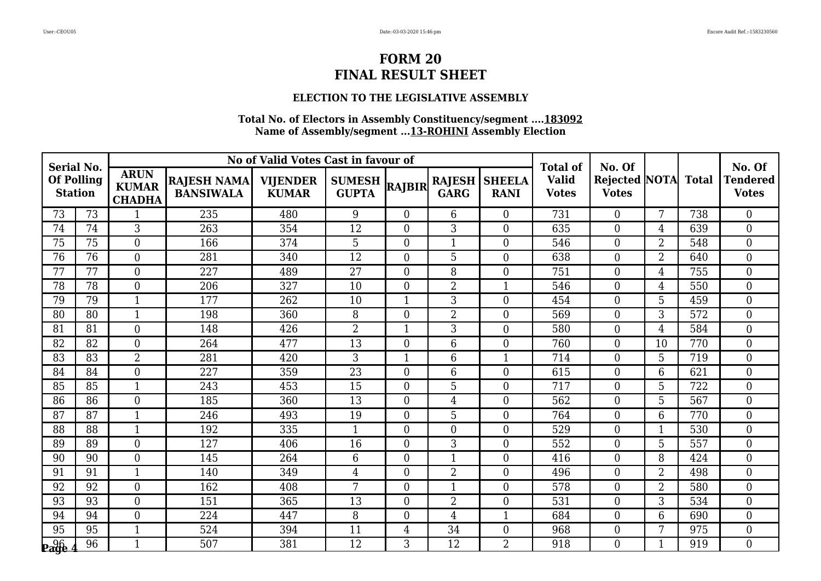### **ELECTION TO THE LEGISLATIVE ASSEMBLY**

| <b>Serial No.</b>                   |                 |                                              |                                        | No of Valid Votes Cast in favour of |                               |                |                              |                              | <b>Total of</b>              | No. Of                               |                |              | No. Of                          |
|-------------------------------------|-----------------|----------------------------------------------|----------------------------------------|-------------------------------------|-------------------------------|----------------|------------------------------|------------------------------|------------------------------|--------------------------------------|----------------|--------------|---------------------------------|
| <b>Of Polling</b><br><b>Station</b> |                 | <b>ARUN</b><br><b>KUMAR</b><br><b>CHADHA</b> | <b>RAJESH NAMA</b><br><b>BANSIWALA</b> | <b>VIJENDER</b><br><b>KUMAR</b>     | <b>SUMESH</b><br><b>GUPTA</b> | RAJBIR         | <b>RAJESH</b><br><b>GARG</b> | <b>SHEELA</b><br><b>RANI</b> | <b>Valid</b><br><b>Votes</b> | <b>Rejected NOTA</b><br><b>Votes</b> |                | <b>Total</b> | <b>Tendered</b><br><b>Votes</b> |
| 73                                  | 73              | 1                                            | 235                                    | 480                                 | 9                             | $\overline{0}$ | 6                            | $\overline{0}$               | 731                          | $\overline{0}$                       | 7              | 738          | $\overline{0}$                  |
| 74                                  | 74              | 3                                            | 263                                    | 354                                 | 12                            | $\overline{0}$ | 3                            | $\overline{0}$               | 635                          | $\boldsymbol{0}$                     | 4              | 639          | $\overline{0}$                  |
| 75                                  | 75              | $\overline{0}$                               | 166                                    | 374                                 | 5                             | $\Omega$       | 1                            | $\overline{0}$               | 546                          | $\boldsymbol{0}$                     | $\overline{2}$ | 548          | $\overline{0}$                  |
| 76                                  | 76              | $\overline{0}$                               | 281                                    | 340                                 | $\overline{12}$               | $\Omega$       | 5                            | $\theta$                     | 638                          | $\boldsymbol{0}$                     | $\overline{2}$ | 640          | $\overline{0}$                  |
| 77                                  | 77              | $\overline{0}$                               | 227                                    | 489                                 | 27                            | $\Omega$       | 8                            | $\overline{0}$               | 751                          | $\boldsymbol{0}$                     | 4              | 755          | $\overline{0}$                  |
| 78                                  | 78              | $\boldsymbol{0}$                             | 206                                    | 327                                 | 10                            | $\overline{0}$ | 2                            | $\mathbf{1}$                 | 546                          | $\boldsymbol{0}$                     | 4              | 550          | $\boldsymbol{0}$                |
| 79                                  | 79              | $\mathbf{1}$                                 | 177                                    | 262                                 | 10                            | $\mathbf{1}$   | 3                            | $\overline{0}$               | 454                          | $\boldsymbol{0}$                     | 5              | 459          | $\overline{0}$                  |
| 80                                  | 80              | 1                                            | 198                                    | 360                                 | 8                             | $\overline{0}$ | $\overline{2}$               | $\overline{0}$               | 569                          | $\boldsymbol{0}$                     | 3              | 572          | $\overline{0}$                  |
| 81                                  | 81              | $\mathbf{0}$                                 | 148                                    | 426                                 | $\overline{2}$                |                | $\overline{3}$               | $\overline{0}$               | 580                          | $\overline{0}$                       | $\overline{4}$ | 584          | $\overline{0}$                  |
| 82                                  | 82              | $\theta$                                     | 264                                    | 477                                 | $\overline{13}$               | $\Omega$       | 6                            | $\theta$                     | 760                          | $\boldsymbol{0}$                     | 10             | 770          | $\overline{0}$                  |
| 83                                  | 83              | $\overline{2}$                               | 281                                    | 420                                 | 3                             | 1              | 6                            | 1                            | 714                          | $\boldsymbol{0}$                     | 5              | 719          | $\overline{0}$                  |
| 84                                  | 84              | $\boldsymbol{0}$                             | 227                                    | 359                                 | 23                            | $\overline{0}$ | 6                            | $\overline{0}$               | 615                          | $\boldsymbol{0}$                     | 6              | 621          | $\boldsymbol{0}$                |
| 85                                  | 85              | $\mathbf{1}$                                 | 243                                    | 453                                 | 15                            | $\overline{0}$ | 5                            | $\theta$                     | 717                          | $\boldsymbol{0}$                     | 5              | 722          | $\overline{0}$                  |
| 86                                  | 86              | $\boldsymbol{0}$                             | 185                                    | 360                                 | 13                            | $\Omega$       | $\overline{4}$               | $\theta$                     | 562                          | $\boldsymbol{0}$                     | 5              | 567          | $\boldsymbol{0}$                |
| 87                                  | 87              | $\mathbf{1}$                                 | 246                                    | 493                                 | 19                            | $\overline{0}$ | 5                            | $\overline{0}$               | 764                          | $\boldsymbol{0}$                     | 6              | 770          | $\overline{0}$                  |
| 88                                  | 88              | $\mathbf{1}$                                 | 192                                    | 335                                 | $\mathbf{1}$                  | $\overline{0}$ | $\theta$                     | $\overline{0}$               | 529                          | $\overline{0}$                       | 1              | 530          | $\overline{0}$                  |
| 89                                  | 89              | $\overline{0}$                               | 127                                    | 406                                 | 16                            | $\Omega$       | 3                            | $\theta$                     | 552                          | $\boldsymbol{0}$                     | 5              | 557          | $\overline{0}$                  |
| 90                                  | 90              | $\theta$                                     | 145                                    | 264                                 | 6                             | $\Omega$       | $\mathbf{1}$                 | $\overline{0}$               | 416                          | $\overline{0}$                       | 8              | 424          | $\overline{0}$                  |
| 91                                  | 91              | $\mathbf{1}$                                 | 140                                    | 349                                 | 4                             | $\overline{0}$ | $\overline{2}$               | $\overline{0}$               | 496                          | $\boldsymbol{0}$                     | $\overline{2}$ | 498          | $\boldsymbol{0}$                |
| 92                                  | 92              | $\overline{0}$                               | 162                                    | 408                                 | 7                             | $\Omega$       | $\mathbf{1}$                 | $\overline{0}$               | 578                          | $\boldsymbol{0}$                     | 2              | 580          | $\boldsymbol{0}$                |
| 93                                  | 93              | $\overline{0}$                               | 151                                    | 365                                 | 13                            | $\overline{0}$ | $\overline{2}$               | $\theta$                     | 531                          | $\overline{0}$                       | 3              | 534          | $\overline{0}$                  |
| 94                                  | 94              | $\boldsymbol{0}$                             | 224                                    | 447                                 | 8                             | $\overline{0}$ | $\overline{4}$               | 1                            | 684                          | $\boldsymbol{0}$                     | 6              | 690          | $\boldsymbol{0}$                |
| 95                                  | $\overline{95}$ | $\mathbf{1}$                                 | 524                                    | 394                                 | 11                            | 4              | $\overline{34}$              | $\overline{0}$               | 968                          | $\boldsymbol{0}$                     | 7              | 975          | $\boldsymbol{0}$                |
| <b>Page</b>                         | 96              | $\mathbf{1}$                                 | 507                                    | 381                                 | 12                            | 3              | 12                           | $\overline{2}$               | 918                          | $\overline{0}$                       | $\mathbf{1}$   | 919          | $\theta$                        |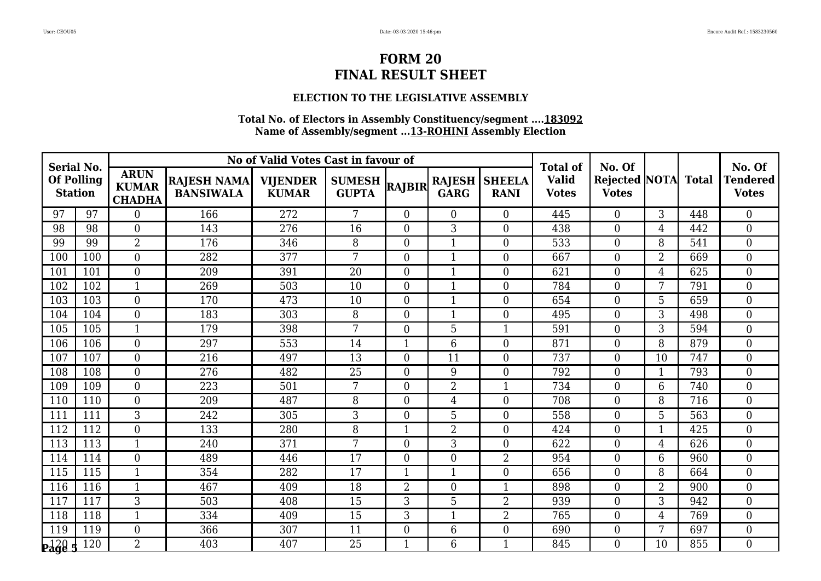### **ELECTION TO THE LEGISLATIVE ASSEMBLY**

| <b>Serial No.</b>                   |     |                                              |                                        | No of Valid Votes Cast in favour of |                               |                |                              |                              | <b>Total of</b>              | No. Of                                     |                 |     | No. Of                          |
|-------------------------------------|-----|----------------------------------------------|----------------------------------------|-------------------------------------|-------------------------------|----------------|------------------------------|------------------------------|------------------------------|--------------------------------------------|-----------------|-----|---------------------------------|
| <b>Of Polling</b><br><b>Station</b> |     | <b>ARUN</b><br><b>KUMAR</b><br><b>CHADHA</b> | <b>RAJESH NAMA</b><br><b>BANSIWALA</b> | <b>VIJENDER</b><br><b>KUMAR</b>     | <b>SUMESH</b><br><b>GUPTA</b> | <b>RAJBIR</b>  | <b>RAJESH</b><br><b>GARG</b> | <b>SHEELA</b><br><b>RANI</b> | <b>Valid</b><br><b>Votes</b> | <b>Rejected NOTA</b> Total<br><b>Votes</b> |                 |     | <b>Tendered</b><br><b>Votes</b> |
| 97                                  | 97  | $\overline{0}$                               | 166                                    | 272                                 | 7                             | $\Omega$       | $\theta$                     | $\overline{0}$               | 445                          | $\overline{0}$                             | 3               | 448 | $\overline{0}$                  |
| 98                                  | 98  | $\theta$                                     | 143                                    | 276                                 | 16                            | $\overline{0}$ | 3                            | $\Omega$                     | 438                          | $\overline{0}$                             | $\overline{4}$  | 442 | $\overline{0}$                  |
| 99                                  | 99  | $\overline{2}$                               | 176                                    | 346                                 | 8                             | $\Omega$       | $\mathbf{1}$                 | $\overline{0}$               | 533                          | $\boldsymbol{0}$                           | 8               | 541 | $\overline{0}$                  |
| 100                                 | 100 | $\overline{0}$                               | 282                                    | 377                                 | 7                             | $\Omega$       | $\mathbf{1}$                 | $\Omega$                     | 667                          | $\overline{0}$                             | $\overline{2}$  | 669 | $\overline{0}$                  |
| 101                                 | 101 | $\overline{0}$                               | 209                                    | 391                                 | 20                            | $\Omega$       | $\mathbf 1$                  | $\overline{0}$               | 621                          | $\overline{0}$                             | $\overline{4}$  | 625 | $\overline{0}$                  |
| 102                                 | 102 | $\mathbf{1}$                                 | 269                                    | 503                                 | 10                            | $\overline{0}$ | $\mathbf{1}$                 | $\overline{0}$               | 784                          | $\boldsymbol{0}$                           | $7\phantom{.0}$ | 791 | $\boldsymbol{0}$                |
| 103                                 | 103 | $\overline{0}$                               | 170                                    | 473                                 | 10                            | $\overline{0}$ | $\mathbf{1}$                 | $\overline{0}$               | 654                          | $\overline{0}$                             | 5               | 659 | $\overline{0}$                  |
| 104                                 | 104 | $\overline{0}$                               | 183                                    | 303                                 | 8                             | $\overline{0}$ | $\mathbf 1$                  | $\overline{0}$               | 495                          | $\boldsymbol{0}$                           | 3               | 498 | $\overline{0}$                  |
| 105                                 | 105 | $\mathbf{1}$                                 | 179                                    | 398                                 | 7                             | $\overline{0}$ | 5                            | 1                            | 591                          | $\overline{0}$                             | $\overline{3}$  | 594 | $\overline{0}$                  |
| 106                                 | 106 | $\theta$                                     | 297                                    | 553                                 | 14                            | 1              | 6                            | $\Omega$                     | 871                          | $\overline{0}$                             | 8               | 879 | $\theta$                        |
| 107                                 | 107 | $\overline{0}$                               | 216                                    | 497                                 | 13                            | $\Omega$       | 11                           | $\overline{0}$               | 737                          | $\boldsymbol{0}$                           | 10              | 747 | $\overline{0}$                  |
| 108                                 | 108 | $\overline{0}$                               | 276                                    | 482                                 | 25                            | $\overline{0}$ | 9                            | $\overline{0}$               | 792                          | $\boldsymbol{0}$                           |                 | 793 | $\overline{0}$                  |
| 109                                 | 109 | $\theta$                                     | 223                                    | 501                                 | 7                             | 0              | $\overline{2}$               | $\mathbf{1}$                 | 734                          | $\overline{0}$                             | 6               | 740 | $\theta$                        |
| 110                                 | 110 | $\overline{0}$                               | 209                                    | 487                                 | 8                             | $\Omega$       | $\overline{4}$               | $\Omega$                     | 708                          | $\boldsymbol{0}$                           | 8               | 716 | $\overline{0}$                  |
| 111                                 | 111 | 3                                            | 242                                    | 305                                 | 3                             | $\overline{0}$ | 5                            | $\overline{0}$               | 558                          | $\overline{0}$                             | 5               | 563 | $\overline{0}$                  |
| 112                                 | 112 | $\theta$                                     | 133                                    | 280                                 | 8                             | $\mathbf 1$    | $\overline{2}$               | $\overline{0}$               | 424                          | $\boldsymbol{0}$                           | 1               | 425 | $\overline{0}$                  |
| 113                                 | 113 | $\mathbf{1}$                                 | 240                                    | 371                                 | 7                             | $\Omega$       | 3                            | $\Omega$                     | 622                          | $\overline{0}$                             | $\overline{4}$  | 626 | $\overline{0}$                  |
| 114                                 | 114 | $\theta$                                     | 489                                    | 446                                 | $\overline{17}$               | $\Omega$       | $\overline{0}$               | $\overline{2}$               | 954                          | $\overline{0}$                             | 6               | 960 | $\theta$                        |
| 115                                 | 115 | $\mathbf{1}$                                 | 354                                    | 282                                 | 17                            |                | 1                            | $\overline{0}$               | 656                          | $\boldsymbol{0}$                           | 8               | 664 | $\overline{0}$                  |
| 116                                 | 116 | 1                                            | 467                                    | 409                                 | 18                            | $\overline{2}$ | $\overline{0}$               | $\mathbf{1}$                 | 898                          | $\overline{0}$                             | $\overline{2}$  | 900 | $\overline{0}$                  |
| 117                                 | 117 | 3                                            | 503                                    | 408                                 | 15                            | 3              | 5                            | $\overline{2}$               | 939                          | $\overline{0}$                             | 3               | 942 | $\overline{0}$                  |
| 118                                 | 118 | $\mathbf 1$                                  | 334                                    | 409                                 | 15                            | 3              | $\mathbf{1}$                 | $\overline{2}$               | 765                          | $\boldsymbol{0}$                           | $\overline{4}$  | 769 | $\overline{0}$                  |
| 119                                 | 119 | $\overline{0}$                               | 366                                    | 307                                 | 11                            | $\overline{0}$ | 6                            | $\overline{0}$               | 690                          | $\boldsymbol{0}$                           | 7               | 697 | $\overline{0}$                  |
| <b><u>Page</u></b>                  | 120 | $\overline{2}$                               | 403                                    | 407                                 | 25                            |                | 6                            | $\mathbf{1}$                 | 845                          | $\Omega$                                   | 10              | 855 | $\Omega$                        |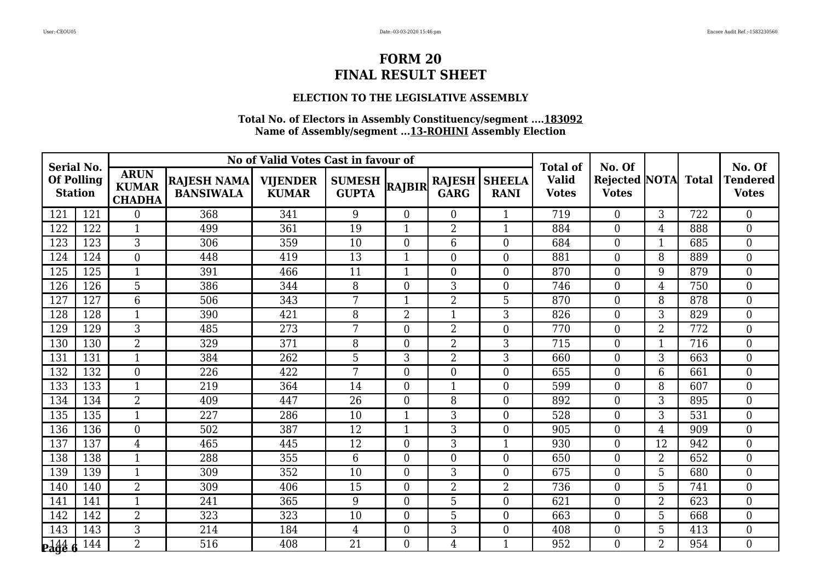### **ELECTION TO THE LEGISLATIVE ASSEMBLY**

| <b>Serial No.</b> |                   |                                              |                                        | No of Valid Votes Cast in favour of |                               |                |                              |                              | <b>Total of</b>              | No. Of                                     |                |     | No. Of                          |
|-------------------|-------------------|----------------------------------------------|----------------------------------------|-------------------------------------|-------------------------------|----------------|------------------------------|------------------------------|------------------------------|--------------------------------------------|----------------|-----|---------------------------------|
| <b>Station</b>    | <b>Of Polling</b> | <b>ARUN</b><br><b>KUMAR</b><br><b>CHADHA</b> | <b>RAJESH NAMA</b><br><b>BANSIWALA</b> | <b>VIJENDER</b><br><b>KUMAR</b>     | <b>SUMESH</b><br><b>GUPTA</b> | <b>RAJBIR</b>  | <b>RAJESH</b><br><b>GARG</b> | <b>SHEELA</b><br><b>RANI</b> | <b>Valid</b><br><b>Votes</b> | <b>Rejected NOTA</b> Total<br><b>Votes</b> |                |     | <b>Tendered</b><br><b>Votes</b> |
| 121               | 121               | $\overline{0}$                               | 368                                    | 341                                 | 9                             | $\Omega$       | $\overline{0}$               |                              | 719                          | $\overline{0}$                             | 3              | 722 | $\overline{0}$                  |
| 122               | 122               | 1                                            | 499                                    | 361                                 | 19                            |                | $\overline{2}$               | $\mathbf{1}$                 | 884                          | $\overline{0}$                             | $\overline{4}$ | 888 | $\overline{0}$                  |
| 123               | 123               | 3                                            | 306                                    | 359                                 | 10                            | $\Omega$       | 6                            | $\Omega$                     | 684                          | $\boldsymbol{0}$                           | $\mathbf 1$    | 685 | $\overline{0}$                  |
| 124               | 124               | $\overline{0}$                               | 448                                    | 419                                 | $\overline{13}$               |                | $\overline{0}$               | $\Omega$                     | 881                          | $\overline{0}$                             | 8              | 889 | $\overline{0}$                  |
| 125               | 125               | 1                                            | 391                                    | 466                                 | 11                            | -1             | $\overline{0}$               | $\overline{0}$               | 870                          | $\overline{0}$                             | 9              | 879 | $\overline{0}$                  |
| 126               | 126               | 5                                            | 386                                    | 344                                 | 8                             | $\Omega$       | 3                            | $\overline{0}$               | 746                          | $\boldsymbol{0}$                           | $\overline{4}$ | 750 | $\boldsymbol{0}$                |
| 127               | 127               | 6                                            | 506                                    | 343                                 | 7                             |                | $\overline{2}$               | $\overline{5}$               | 870                          | $\overline{0}$                             | 8              | 878 | $\overline{0}$                  |
| 128               | 128               | 1                                            | 390                                    | 421                                 | 8                             | $\overline{2}$ | $\mathbf 1$                  | 3                            | 826                          | $\boldsymbol{0}$                           | 3              | 829 | $\overline{0}$                  |
| 129               | 129               | $\overline{3}$                               | 485                                    | 273                                 | $7\phantom{.0}$               | $\overline{0}$ | $\overline{2}$               | $\overline{0}$               | 770                          | $\overline{0}$                             | $\overline{2}$ | 772 | $\overline{0}$                  |
| 130               | 130               | $\overline{2}$                               | 329                                    | 371                                 | 8                             | $\Omega$       | $\overline{2}$               | 3                            | 715                          | $\overline{0}$                             | $\mathbf{1}$   | 716 | $\theta$                        |
| 131               | 131               | 1                                            | 384                                    | 262                                 | 5                             | 3              | $\overline{2}$               | 3                            | 660                          | $\boldsymbol{0}$                           | 3              | 663 | $\overline{0}$                  |
| 132               | 132               | $\overline{0}$                               | 226                                    | 422                                 | 7                             | $\overline{0}$ | $\boldsymbol{0}$             | $\overline{0}$               | 655                          | $\boldsymbol{0}$                           | 6              | 661 | $\overline{0}$                  |
| 133               | 133               | $\mathbf{1}$                                 | 219                                    | 364                                 | 14                            | 0              | 1                            | $\Omega$                     | 599                          | $\overline{0}$                             | 8              | 607 | $\overline{0}$                  |
| 134               | 134               | $\overline{2}$                               | 409                                    | 447                                 | 26                            | $\overline{0}$ | 8                            | $\Omega$                     | 892                          | $\boldsymbol{0}$                           | 3              | 895 | $\overline{0}$                  |
| 135               | 135               | $\mathbf{1}$                                 | 227                                    | 286                                 | 10                            |                | 3                            | $\overline{0}$               | 528                          | $\overline{0}$                             | 3              | 531 | $\overline{0}$                  |
| 136               | 136               | $\theta$                                     | 502                                    | 387                                 | 12                            | $\mathbf{1}$   | 3                            | $\overline{0}$               | 905                          | $\overline{0}$                             | $\overline{4}$ | 909 | $\overline{0}$                  |
| 137               | 137               | $\overline{4}$                               | 465                                    | 445                                 | 12                            | $\Omega$       | 3                            | $\mathbf{1}$                 | 930                          | $\overline{0}$                             | 12             | 942 | $\overline{0}$                  |
| 138               | 138               | $\mathbf{1}$                                 | 288                                    | 355                                 | 6                             | $\Omega$       | $\overline{0}$               | $\Omega$                     | 650                          | $\overline{0}$                             | $\overline{2}$ | 652 | $\theta$                        |
| 139               | 139               | 1                                            | 309                                    | 352                                 | 10                            | $\overline{0}$ | 3                            | $\overline{0}$               | 675                          | $\boldsymbol{0}$                           | 5              | 680 | $\overline{0}$                  |
| 140               | 140               | $\overline{2}$                               | 309                                    | 406                                 | 15                            | $\Omega$       | $\overline{2}$               | $\overline{2}$               | 736                          | $\overline{0}$                             | 5              | 741 | $\overline{0}$                  |
| 141               | 141               | $\mathbf{1}$                                 | 241                                    | 365                                 | 9                             | $\Omega$       | 5                            | $\overline{0}$               | 621                          | $\overline{0}$                             | $\overline{2}$ | 623 | $\overline{0}$                  |
| 142               | 142               | $\overline{2}$                               | 323                                    | 323                                 | 10                            | $\overline{0}$ | 5                            | $\overline{0}$               | 663                          | $\boldsymbol{0}$                           | 5              | 668 | $\overline{0}$                  |
| 143               | 143               | 3                                            | 214                                    | 184                                 | 4                             | $\overline{0}$ | 3                            | $\overline{0}$               | 408                          | $\boldsymbol{0}$                           | 5              | 413 | $\overline{0}$                  |
| <b>Page</b>       | 144               | $\overline{2}$                               | 516                                    | 408                                 | 21                            | $\Omega$       | $\overline{4}$               | $\mathbf{1}$                 | 952                          | $\Omega$                                   | $\overline{2}$ | 954 | $\Omega$                        |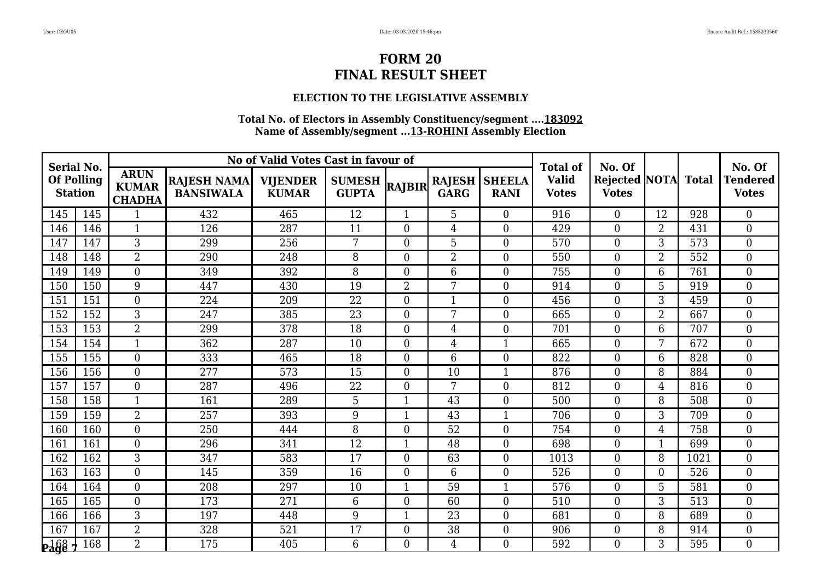### **ELECTION TO THE LEGISLATIVE ASSEMBLY**

| <b>Serial No.</b>                   |     |                                              |                                        | No of Valid Votes Cast in favour of |                               |                |                              |                              | <b>Total of</b>              | No. Of                               |                |              | No. Of                          |
|-------------------------------------|-----|----------------------------------------------|----------------------------------------|-------------------------------------|-------------------------------|----------------|------------------------------|------------------------------|------------------------------|--------------------------------------|----------------|--------------|---------------------------------|
| <b>Of Polling</b><br><b>Station</b> |     | <b>ARUN</b><br><b>KUMAR</b><br><b>CHADHA</b> | <b>RAJESH NAMA</b><br><b>BANSIWALA</b> | <b>VIJENDER</b><br><b>KUMAR</b>     | <b>SUMESH</b><br><b>GUPTA</b> | <b>RAJBIR</b>  | <b>RAJESH</b><br><b>GARG</b> | <b>SHEELA</b><br><b>RANI</b> | <b>Valid</b><br><b>Votes</b> | <b>Rejected NOTA</b><br><b>Votes</b> |                | <b>Total</b> | <b>Tendered</b><br><b>Votes</b> |
| 145                                 | 145 | $\mathbf{1}$                                 | 432                                    | 465                                 | 12                            |                | 5                            | $\overline{0}$               | 916                          | $\overline{0}$                       | 12             | 928          | $\overline{0}$                  |
| 146                                 | 146 | $\mathbf{1}$                                 | 126                                    | 287                                 | 11                            | $\theta$       | $\overline{4}$               | $\overline{0}$               | 429                          | $\boldsymbol{0}$                     | $\overline{2}$ | 431          | $\overline{0}$                  |
| 147                                 | 147 | 3                                            | 299                                    | 256                                 | 7                             | $\Omega$       | 5                            | $\Omega$                     | 570                          | $\boldsymbol{0}$                     | 3              | 573          | $\overline{0}$                  |
| 148                                 | 148 | $\overline{2}$                               | 290                                    | 248                                 | 8                             | $\Omega$       | $\overline{2}$               | $\Omega$                     | 550                          | $\boldsymbol{0}$                     | $\overline{2}$ | 552          | $\overline{0}$                  |
| 149                                 | 149 | $\overline{0}$                               | 349                                    | 392                                 | 8                             | $\Omega$       | 6                            | $\Omega$                     | 755                          | $\boldsymbol{0}$                     | 6              | 761          | $\overline{0}$                  |
| 150                                 | 150 | 9                                            | 447                                    | 430                                 | 19                            | $\overline{2}$ | 7                            | $\overline{0}$               | 914                          | $\boldsymbol{0}$                     | 5              | 919          | $\boldsymbol{0}$                |
| 151                                 | 151 | $\overline{0}$                               | 224                                    | 209                                 | 22                            | $\Omega$       | $\mathbf{1}$                 | $\overline{0}$               | 456                          | $\boldsymbol{0}$                     | 3              | 459          | $\overline{0}$                  |
| 152                                 | 152 | 3                                            | 247                                    | 385                                 | 23                            | $\Omega$       | 7                            | $\overline{0}$               | 665                          | $\boldsymbol{0}$                     | $\overline{2}$ | 667          | $\overline{0}$                  |
| 153                                 | 153 | $\overline{2}$                               | 299                                    | 378                                 | $\overline{18}$               | $\Omega$       | $\overline{4}$               | $\overline{0}$               | 701                          | $\overline{0}$                       | 6              | 707          | $\overline{0}$                  |
| 154                                 | 154 | $\mathbf{1}$                                 | 362                                    | 287                                 | 10                            | $\Omega$       | $\overline{4}$               | $\mathbf{1}$                 | 665                          | $\boldsymbol{0}$                     | 7              | 672          | $\overline{0}$                  |
| 155                                 | 155 | $\overline{0}$                               | 333                                    | 465                                 | 18                            | $\Omega$       | 6                            | $\overline{0}$               | 822                          | $\boldsymbol{0}$                     | 6              | 828          | $\overline{0}$                  |
| 156                                 | 156 | $\overline{0}$                               | 277                                    | 573                                 | 15                            | $\theta$       | 10                           |                              | 876                          | $\boldsymbol{0}$                     | 8              | 884          | $\boldsymbol{0}$                |
| 157                                 | 157 | $\Omega$                                     | 287                                    | 496                                 | 22                            | $\Omega$       | 7                            | $\overline{0}$               | 812                          | $\overline{0}$                       | 4              | 816          | $\overline{0}$                  |
| 158                                 | 158 | $\mathbf{1}$                                 | 161                                    | 289                                 | 5                             |                | 43                           | $\overline{0}$               | 500                          | $\boldsymbol{0}$                     | 8              | 508          | $\overline{0}$                  |
| 159                                 | 159 | $\overline{2}$                               | 257                                    | 393                                 | 9                             |                | 43                           |                              | 706                          | $\boldsymbol{0}$                     | 3              | 709          | $\overline{0}$                  |
| 160                                 | 160 | $\Omega$                                     | 250                                    | 444                                 | 8                             | $\Omega$       | 52                           | $\overline{0}$               | 754                          | $\boldsymbol{0}$                     | 4              | 758          | $\overline{0}$                  |
| 161                                 | 161 | $\overline{0}$                               | 296                                    | 341                                 | 12                            |                | 48                           | $\overline{0}$               | 698                          | $\boldsymbol{0}$                     | $\mathbf{1}$   | 699          | $\overline{0}$                  |
| 162                                 | 162 | 3                                            | 347                                    | 583                                 | 17                            | $\Omega$       | 63                           | $\overline{0}$               | 1013                         | $\overline{0}$                       | 8              | 1021         | $\theta$                        |
| 163                                 | 163 | $\theta$                                     | 145                                    | 359                                 | 16                            | $\Omega$       | 6                            | $\overline{0}$               | 526                          | $\boldsymbol{0}$                     | $\overline{0}$ | 526          | $\overline{0}$                  |
| 164                                 | 164 | $\overline{0}$                               | 208                                    | 297                                 | 10                            |                | 59                           | $\mathbf 1$                  | 576                          | $\boldsymbol{0}$                     | 5              | 581          | $\boldsymbol{0}$                |
| 165                                 | 165 | $\overline{0}$                               | 173                                    | 271                                 | 6                             | $\Omega$       | 60                           | $\Omega$                     | 510                          | $\boldsymbol{0}$                     | 3              | 513          | $\overline{0}$                  |
| 166                                 | 166 | 3                                            | 197                                    | 448                                 | 9                             |                | 23                           | $\overline{0}$               | 681                          | $\boldsymbol{0}$                     | 8              | 689          | $\boldsymbol{0}$                |
| 167                                 | 167 | $\overline{2}$                               | 328                                    | 521                                 | 17                            | $\theta$       | 38                           | $\overline{0}$               | 906                          | $\boldsymbol{0}$                     | 8              | 914          | $\boldsymbol{0}$                |
| <b>Page</b>                         | 168 | $\overline{2}$                               | 175                                    | 405                                 | 6                             | $\Omega$       | $\overline{4}$               | $\Omega$                     | 592                          | $\Omega$                             | 3              | 595          | $\theta$                        |